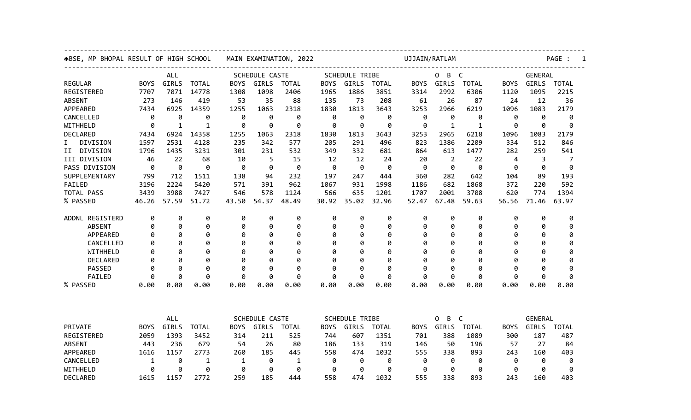| ABSE, MP BHOPAL RESULT OF HIGH SCHOOL | MAIN EXAMINATION, 2022 |            |              |                       | UJJAIN/RATLAM |              |                       |                       |              |             | PAGE :         |                        |                |       |                |  |  |
|---------------------------------------|------------------------|------------|--------------|-----------------------|---------------|--------------|-----------------------|-----------------------|--------------|-------------|----------------|------------------------|----------------|-------|----------------|--|--|
|                                       | ALL                    |            |              | SCHEDULE CASTE        |               |              |                       | <b>SCHEDULE TRIBE</b> |              |             |                | B<br>$\mathsf{C}$<br>0 |                |       | <b>GENERAL</b> |  |  |
| <b>REGULAR</b>                        | <b>BOYS</b>            | GIRLS      | <b>TOTAL</b> | <b>BOYS</b>           | <b>GIRLS</b>  | <b>TOTAL</b> | <b>BOYS</b>           | <b>GIRLS</b>          | <b>TOTAL</b> | <b>BOYS</b> | <b>GIRLS</b>   | <b>TOTAL</b>           | <b>BOYS</b>    | GIRLS | <b>TOTAL</b>   |  |  |
| REGISTERED                            | 7707                   | 7071       | 14778        | 1308                  | 1098          | 2406         | 1965                  | 1886                  | 3851         | 3314        | 2992           | 6306                   | 1120           | 1095  | 2215           |  |  |
| <b>ABSENT</b>                         | 273                    | 146        | 419          | 53                    | 35            | 88           | 135                   | 73                    | 208          | 61          | 26             | 87                     | 24             | 12    | 36             |  |  |
| APPEARED                              | 7434                   | 6925       | 14359        | 1255                  | 1063          | 2318         | 1830                  | 1813                  | 3643         | 3253        | 2966           | 6219                   | 1096           | 1083  | 2179           |  |  |
| CANCELLED                             | 0                      | 0          | 0            | 0                     | 0             | 0            | 0                     | 0                     | 0            | 0           | 0              | 0                      | 0              | 0     | 0              |  |  |
| WITHHELD                              | 0                      | 1          | 1            | 0                     | 0             | 0            | 0                     | 0                     | 0            | 0           | 1              | 1                      | 0              | 0     | 0              |  |  |
| DECLARED                              | 7434                   | 6924       | 14358        | 1255                  | 1063          | 2318         | 1830                  | 1813                  | 3643         | 3253        | 2965           | 6218                   | 1096           | 1083  | 2179           |  |  |
| I.<br>DIVISION                        | 1597                   | 2531       | 4128         | 235                   | 342           | 577          | 205                   | 291                   | 496          | 823         | 1386           | 2209                   | 334            | 512   | 846            |  |  |
| II DIVISION                           | 1796                   | 1435       | 3231         | 301                   | 231           | 532          | 349                   | 332                   | 681          | 864         | 613            | 1477                   | 282            | 259   | 541            |  |  |
| III DIVISION                          | 46                     | 22         | 68           | 10                    | 5             | 15           | 12                    | 12                    | 24           | 20          | $\overline{2}$ | 22                     | 4              | 3     | 7              |  |  |
| PASS DIVISION                         | 0                      | 0          | 0            | 0                     | 0             | 0            | 0                     | 0                     | 0            | 0           | 0              | 0                      | 0              | 0     | 0              |  |  |
| SUPPLEMENTARY                         | 799                    | 712        | 1511         | 138                   | 94            | 232          | 197                   | 247                   | 444          | 360         | 282            | 642                    | 104            | 89    | 193            |  |  |
| FAILED                                | 3196                   | 2224       | 5420         | 571                   | 391           | 962          | 1067                  | 931                   | 1998         | 1186        | 682            | 1868                   | 372            | 220   | 592            |  |  |
| TOTAL PASS                            | 3439                   | 3988       | 7427         | 546                   | 578           | 1124         | 566                   | 635                   | 1201         | 1707        | 2001           | 3708                   | 620            | 774   | 1394           |  |  |
| % PASSED                              | 46.26                  | 57.59      | 51.72        | 43.50                 | 54.37         | 48.49        | 30.92                 | 35.02                 | 32.96        | 52.47       | 67.48          | 59.63                  | 56.56          | 71.46 | 63.97          |  |  |
| ADDNL REGISTERD                       | 0                      | 0          | 0            | 0                     | 0             | 0            | 0                     | 0                     | 0            | 0           | 0              | 0                      | 0              | 0     | 0              |  |  |
| <b>ABSENT</b>                         | 0                      | 0          | 0            | 0                     | 0             | 0            | 0                     | 0                     | 0            | 0           | 0              | 0                      | 0              | 0     | 0              |  |  |
| APPEARED                              | 0                      | 0          | 0            | 0                     | 0             | 0            | 0                     | 0                     | 0            | 0           | 0              | 0                      | 0              | 0     | 0              |  |  |
| CANCELLED                             | ø                      | Ø          | 0            | ø                     | 0             | 0            | 0                     | g                     | ø            | Ø           | 0              | 0                      | ø              | Ø     | 0              |  |  |
| WITHHELD                              | 0                      | Ø          | 0            | Ø                     | 0             | 0            | 0                     | Ø                     | 0            | Ø           | ø              | 0                      | 0              | Ø     | 0              |  |  |
| <b>DECLARED</b>                       | ø                      | ø          | ø            | ø                     | ø             | ø            | ø                     | g                     | ø            | Ø           | ø              | ø                      | ø              | Ø     | ø              |  |  |
| <b>PASSED</b>                         | 0                      | 0          | 0            | 0                     | 0             | 0            | 0                     | 0                     | 0            | 0           | 0              | 0                      | 0              | 0     | 0              |  |  |
| FAILED                                | 0                      | ø          | 0            | 0                     | 0             | 0            | 0                     | ø                     | 0            | ø           | 0              | 0                      | ø              | 0     | 0              |  |  |
| % PASSED                              | 0.00                   | 0.00       | 0.00         | 0.00                  | 0.00          | 0.00         | 0.00                  | 0.00                  | 0.00         | 0.00        | 0.00           | 0.00                   | 0.00           | 0.00  | 0.00           |  |  |
|                                       |                        |            |              |                       |               |              |                       |                       |              |             |                |                        |                |       |                |  |  |
|                                       |                        | <b>ALL</b> |              | <b>SCHEDULE CASTE</b> |               |              | <b>SCHEDULE TRIBE</b> |                       |              | 0<br>B C    |                |                        | <b>GENERAL</b> |       |                |  |  |
| PRIVATE                               | <b>BOYS</b>            | GIRLS      | <b>TOTAL</b> | <b>BOYS</b>           | GIRLS         | <b>TOTAL</b> | <b>BOYS</b>           | GIRLS                 | <b>TOTAL</b> | <b>BOYS</b> | GIRLS          | <b>TOTAL</b>           | <b>BOYS</b>    | GIRLS | <b>TOTAL</b>   |  |  |
| REGISTERED                            | 2059                   | 1393       | 3452         | 314                   | 211           | 525          | 744                   | 607                   | 1351         | 701         | 388            | 1089                   | 300            | 187   | 487            |  |  |
| <b>ABSENT</b>                         | 443                    | 236        | 679          | 54                    | 26            | 80           | 186                   | 133                   | 319          | 146         | 50             | 196                    | 57             | 27    | 84             |  |  |
| APPEARED                              | 1616                   | 1157       | 2773         | 260                   | 185           | 445          | 558                   | 474                   | 1032         | 555         | 338            | 893                    | 243            | 160   | 403            |  |  |
| CANCELLED                             | 1                      | 0          | 1            | 1                     | 0             | 1            | 0                     | 0                     | 0            | 0           | 0              | 0                      | 0              | 0     | 0              |  |  |
| WITHHELD                              | 0                      | 0          | 0            | 0                     | 0             | 0            | 0                     | 0                     | 0            | 0           | 0              | 0                      | 0              | 0     | 0              |  |  |
| DECLARED                              | 1615                   | 1157       | 2772         | 259                   | 185           | 444          | 558                   | 474                   | 1032         | 555         | 338            | 893                    | 243            | 160   | 403            |  |  |